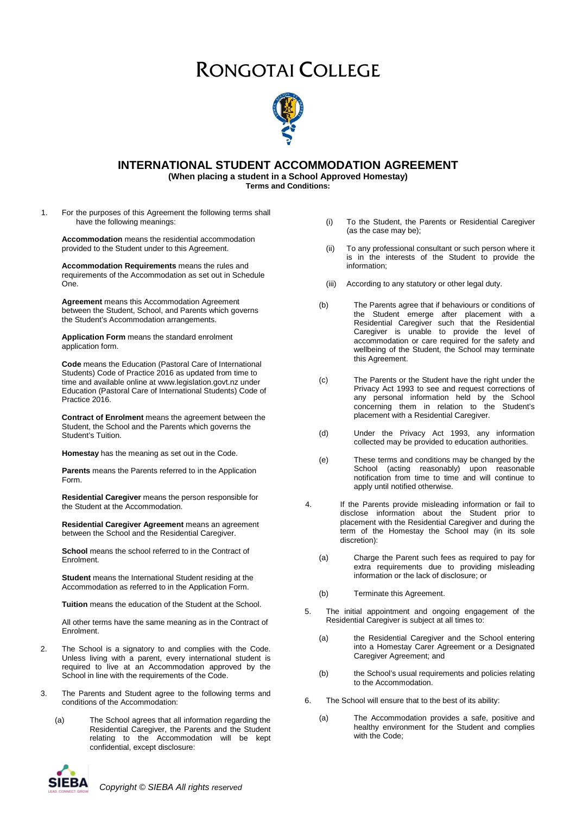# RONGOTAI COLLEGE



## **INTERNATIONAL STUDENT ACCOMMODATION AGREEMENT**

**(When placing a student in a School Approved Homestay)**

**Terms and Conditions:**

1. For the purposes of this Agreement the following terms shall have the following meanings:

**Accommodation** means the residential accommodation provided to the Student under to this Agreement.

**Accommodation Requirements** means the rules and requirements of the Accommodation as set out in Schedule One.

**Agreement** means this Accommodation Agreement between the Student, School, and Parents which governs the Student's Accommodation arrangements.

**Application Form** means the standard enrolment application form.

**Code** means the Education (Pastoral Care of International Students) Code of Practice 2016 as updated from time to time and available online at www.legislation.govt.nz under Education (Pastoral Care of International Students) Code of Practice 2016.

**Contract of Enrolment** means the agreement between the Student, the School and the Parents which governs the Student's Tuition.

**Homestay** has the meaning as set out in the Code.

**Parents** means the Parents referred to in the Application Form.

**Residential Caregiver** means the person responsible for the Student at the Accommodation.

**Residential Caregiver Agreement** means an agreement between the School and the Residential Caregiver.

**School** means the school referred to in the Contract of Enrolment.

**Student** means the International Student residing at the Accommodation as referred to in the Application Form.

**Tuition** means the education of the Student at the School.

All other terms have the same meaning as in the Contract of Enrolment.

- 2. The School is a signatory to and complies with the Code. Unless living with a parent, every international student is required to live at an Accommodation approved by the School in line with the requirements of the Code.
- 3. The Parents and Student agree to the following terms and conditions of the Accommodation:
	- (a) The School agrees that all information regarding the Residential Caregiver, the Parents and the Student relating to the Accommodation will be kept confidential, except disclosure:
	-
- (i) To the Student, the Parents or Residential Caregiver (as the case may be);
- (ii) To any professional consultant or such person where it is in the interests of the Student to provide the information;
- (iii) According to any statutory or other legal duty.
- (b) The Parents agree that if behaviours or conditions of the Student emerge after placement with a Residential Caregiver such that the Residential Caregiver is unable to provide the level of accommodation or care required for the safety and wellbeing of the Student, the School may terminate this Agreement.
- (c) The Parents or the Student have the right under the Privacy Act 1993 to see and request corrections of any personal information held by the School concerning them in relation to the Student's placement with a Residential Caregiver.
- (d) Under the Privacy Act 1993, any information collected may be provided to education authorities.
- (e) These terms and conditions may be changed by the School (acting reasonably) upon reasonable notification from time to time and will continue to apply until notified otherwise.
- 4. If the Parents provide misleading information or fail to disclose information about the Student prior to placement with the Residential Caregiver and during the term of the Homestay the School may (in its sole discretion):
	- (a) Charge the Parent such fees as required to pay for extra requirements due to providing misleading information or the lack of disclosure; or
	- (b) Terminate this Agreement.
- 5. The initial appointment and ongoing engagement of the Residential Caregiver is subject at all times to:
	- (a) the Residential Caregiver and the School entering into a Homestay Carer Agreement or a Designated Caregiver Agreement; and
	- (b) the School's usual requirements and policies relating to the Accommodation.
- 6. The School will ensure that to the best of its ability:
	- (a) The Accommodation provides a safe, positive and healthy environment for the Student and complies with the Code;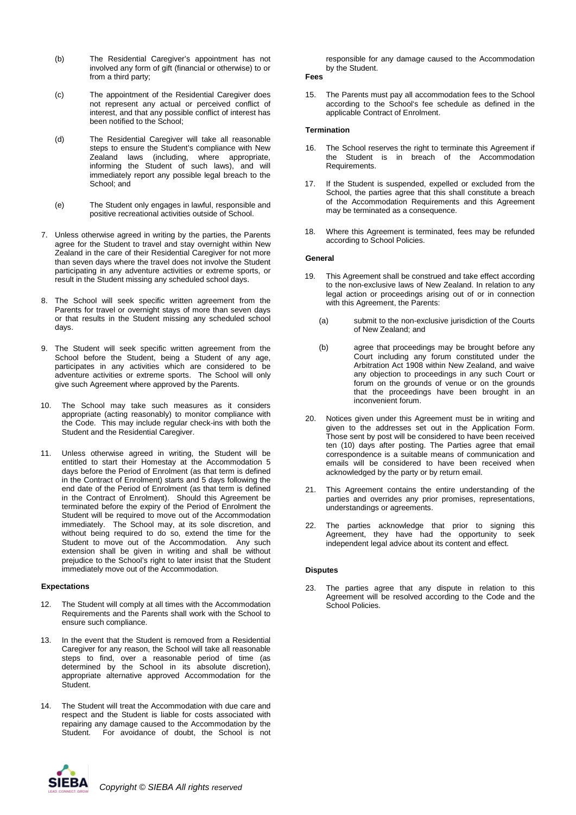- (b) The Residential Caregiver's appointment has not involved any form of gift (financial or otherwise) to or from a third party;
- (c) The appointment of the Residential Caregiver does not represent any actual or perceived conflict of interest, and that any possible conflict of interest has been notified to the School;
- (d) The Residential Caregiver will take all reasonable steps to ensure the Student's compliance with New Zealand laws (including, where appropriate, informing the Student of such laws), and will immediately report any possible legal breach to the School: and
- (e) The Student only engages in lawful, responsible and positive recreational activities outside of School.
- 7. Unless otherwise agreed in writing by the parties, the Parents agree for the Student to travel and stay overnight within New Zealand in the care of their Residential Caregiver for not more than seven days where the travel does not involve the Student participating in any adventure activities or extreme sports, or result in the Student missing any scheduled school days.
- 8. The School will seek specific written agreement from the Parents for travel or overnight stays of more than seven days or that results in the Student missing any scheduled school days.
- 9. The Student will seek specific written agreement from the School before the Student, being a Student of any age, participates in any activities which are considered to be adventure activities or extreme sports. The School will only give such Agreement where approved by the Parents.
- 10. The School may take such measures as it considers appropriate (acting reasonably) to monitor compliance with the Code. This may include regular check-ins with both the Student and the Residential Caregiver.
- 11. Unless otherwise agreed in writing, the Student will be entitled to start their Homestay at the Accommodation 5 days before the Period of Enrolment (as that term is defined in the Contract of Enrolment) starts and 5 days following the end date of the Period of Enrolment (as that term is defined in the Contract of Enrolment). Should this Agreement be terminated before the expiry of the Period of Enrolment the Student will be required to move out of the Accommodation immediately. The School may, at its sole discretion, and without being required to do so, extend the time for the Student to move out of the Accommodation. Any such extension shall be given in writing and shall be without prejudice to the School's right to later insist that the Student immediately move out of the Accommodation.

#### **Expectations**

- 12. The Student will comply at all times with the Accommodation Requirements and the Parents shall work with the School to ensure such compliance.
- 13. In the event that the Student is removed from a Residential Caregiver for any reason, the School will take all reasonable steps to find, over a reasonable period of time (as determined by the School in its absolute discretion), appropriate alternative approved Accommodation for the Student.
- 14. The Student will treat the Accommodation with due care and respect and the Student is liable for costs associated with repairing any damage caused to the Accommodation by the Student. For avoidance of doubt, the School is not

responsible for any damage caused to the Accommodation by the Student.

- **Fees**
- 15. The Parents must pay all accommodation fees to the School according to the School's fee schedule as defined in the applicable Contract of Enrolment.

#### **Termination**

- 16. The School reserves the right to terminate this Agreement if the Student is in breach of the Accommodation Requirements.
- 17. If the Student is suspended, expelled or excluded from the School, the parties agree that this shall constitute a breach of the Accommodation Requirements and this Agreement may be terminated as a consequence.
- 18. Where this Agreement is terminated, fees may be refunded according to School Policies.

#### **General**

- 19. This Agreement shall be construed and take effect according to the non-exclusive laws of New Zealand. In relation to any legal action or proceedings arising out of or in connection with this Agreement, the Parents:
	- (a) submit to the non-exclusive jurisdiction of the Courts of New Zealand; and
	- (b) agree that proceedings may be brought before any Court including any forum constituted under the Arbitration Act 1908 within New Zealand, and waive any objection to proceedings in any such Court or forum on the grounds of venue or on the grounds that the proceedings have been brought in an inconvenient forum.
- 20. Notices given under this Agreement must be in writing and given to the addresses set out in the Application Form. Those sent by post will be considered to have been received ten (10) days after posting. The Parties agree that email correspondence is a suitable means of communication and emails will be considered to have been received when acknowledged by the party or by return email.
- 21. This Agreement contains the entire understanding of the parties and overrides any prior promises, representations, understandings or agreements.
- 22. The parties acknowledge that prior to signing this Agreement, they have had the opportunity to seek independent legal advice about its content and effect.

#### **Disputes**

23. The parties agree that any dispute in relation to this Agreement will be resolved according to the Code and the School Policies.